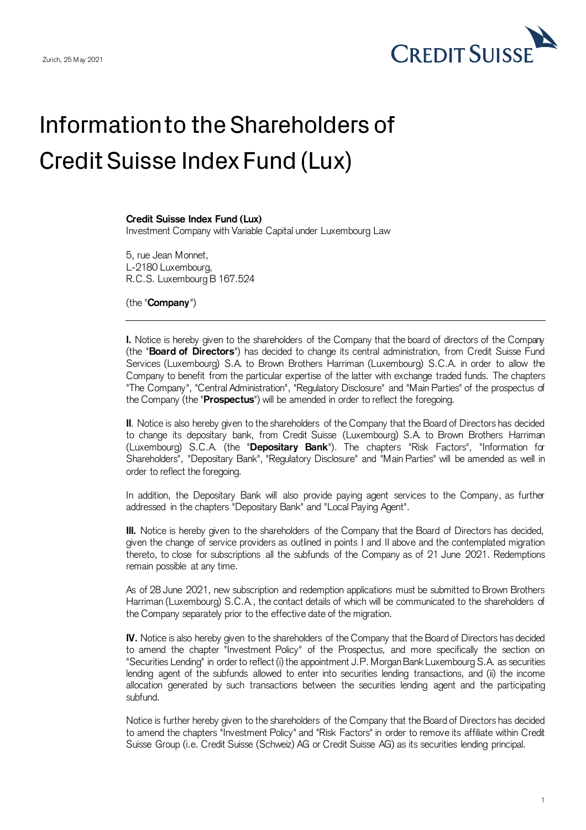

## Information to the Shareholders of Credit Suisse Index Fund (Lux)

## **Credit Suisse Index Fund (Lux)**

Investment Company with Variable Capital under Luxembourg Law

5, rue Jean Monnet, L-2180 Luxembourg, R.C.S. Luxembourg B 167.524

(the "**Company**")

**I.** Notice is hereby given to the shareholders of the Company that the board of directors of the Company (the "**Board of Directors**") has decided to change its central administration, from Credit Suisse Fund Services (Luxembourg) S.A. to Brown Brothers Harriman (Luxembourg) S.C.A. in order to allow the Company to benefit from the particular expertise of the latter with exchange traded funds. The chapters "The Company", "Central Administration", "Regulatory Disclosure" and "Main Parties" of the prospectus of the Company (the "**Prospectus**") will be amended in order to reflect the foregoing.

**II**. Notice is also hereby given to the shareholders of the Company that the Board of Directors has decided to change its depositary bank, from Credit Suisse (Luxembourg) S.A. to Brown Brothers Harriman (Luxembourg) S.C.A. (the "**Depositary Bank**"). The chapters "Risk Factors", "Information for Shareholders", "Depositary Bank", "Regulatory Disclosure" and "Main Parties" will be amended as well in order to reflect the foregoing.

In addition, the Depositary Bank will also provide paying agent services to the Company, as further addressed in the chapters "Depositary Bank" and "Local Paying Agent".

**III.** Notice is hereby given to the shareholders of the Company that the Board of Directors has decided, given the change of service providers as outlined in points I and II above and the contemplated migration thereto, to close for subscriptions all the subfunds of the Company as of 21 June 2021. Redemptions remain possible at any time.

As of 28 June 2021, new subscription and redemption applications must be submitted to Brown Brothers Harriman (Luxembourg) S.C.A., the contact details of which will be communicated to the shareholders of the Company separately prior to the effective date of the migration.

**IV.** Notice is also hereby given to the shareholders of the Company that the Board of Directors has decided to amend the chapter "Investment Policy" of the Prospectus, and more specifically the section on "Securities Lending" in order to reflect (i) the appointment J.P. MorganBankLuxembourg S.A. as securities lending agent of the subfunds allowed to enter into securities lending transactions, and (ii) the income allocation generated by such transactions between the securities lending agent and the participating subfund.

Notice is further hereby given to the shareholders of the Company that the Board of Directors has decided to amend the chapters "Investment Policy" and "Risk Factors" in order to remove its affiliate within Credit Suisse Group (i.e. Credit Suisse (Schweiz) AG or Credit Suisse AG) as its securities lending principal.